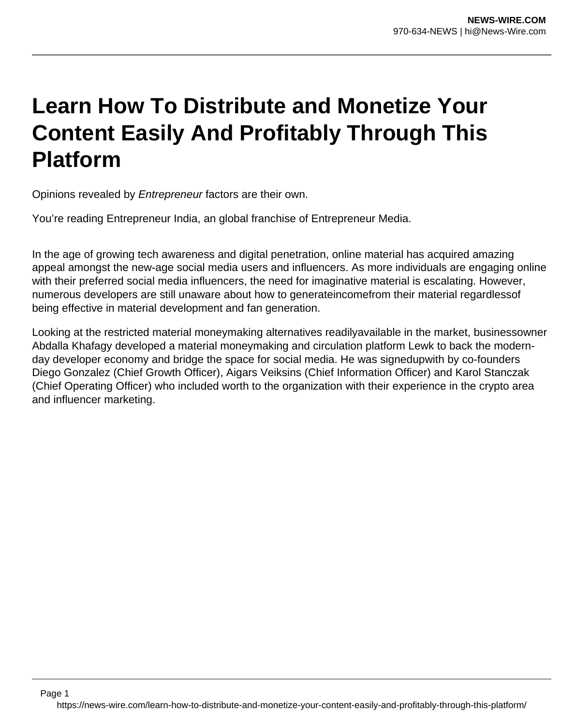## **Learn How To Distribute and Monetize Your Content Easily And Profitably Through This Platform**

Opinions revealed by Entrepreneur factors are their own.

You're reading Entrepreneur India, an global franchise of Entrepreneur Media.

In the age of growing tech awareness and digital penetration, online material has acquired amazing appeal amongst the new-age social media users and influencers. As more individuals are engaging online with their preferred social media influencers, the need for imaginative material is escalating. However, numerous developers are still unaware about how to generateincomefrom their material regardlessof being effective in material development and fan generation.

Looking at the restricted material moneymaking alternatives readilyavailable in the market, businessowner Abdalla Khafagy developed a material moneymaking and circulation platform Lewk to back the modernday developer economy and bridge the space for social media. He was signedupwith by co-founders Diego Gonzalez (Chief Growth Officer), Aigars Veiksins (Chief Information Officer) and Karol Stanczak (Chief Operating Officer) who included worth to the organization with their experience in the crypto area and influencer marketing.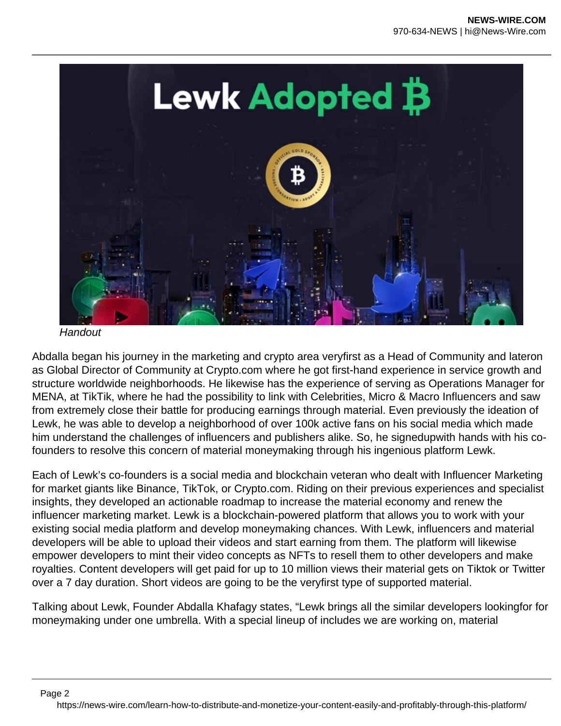

**Handout** 

Abdalla began his journey in the marketing and crypto area veryfirst as a Head of Community and lateron as Global Director of Community at Crypto.com where he got first-hand experience in service growth and structure worldwide neighborhoods. He likewise has the experience of serving as Operations Manager for MENA, at TikTik, where he had the possibility to link with Celebrities, Micro & Macro Influencers and saw from extremely close their battle for producing earnings through material. Even previously the ideation of Lewk, he was able to develop a neighborhood of over 100k active fans on his social media which made him understand the challenges of influencers and publishers alike. So, he signedupwith hands with his cofounders to resolve this concern of material moneymaking through his ingenious platform Lewk.

Each of Lewk's co-founders is a social media and blockchain veteran who dealt with Influencer Marketing for market giants like Binance, TikTok, or Crypto.com. Riding on their previous experiences and specialist insights, they developed an actionable roadmap to increase the material economy and renew the influencer marketing market. Lewk is a blockchain-powered platform that allows you to work with your existing social media platform and develop moneymaking chances. With Lewk, influencers and material developers will be able to upload their videos and start earning from them. The platform will likewise empower developers to mint their video concepts as NFTs to resell them to other developers and make royalties. Content developers will get paid for up to 10 million views their material gets on Tiktok or Twitter over a 7 day duration. Short videos are going to be the veryfirst type of supported material.

Talking about Lewk, Founder Abdalla Khafagy states, "Lewk brings all the similar developers lookingfor for moneymaking under one umbrella. With a special lineup of includes we are working on, material